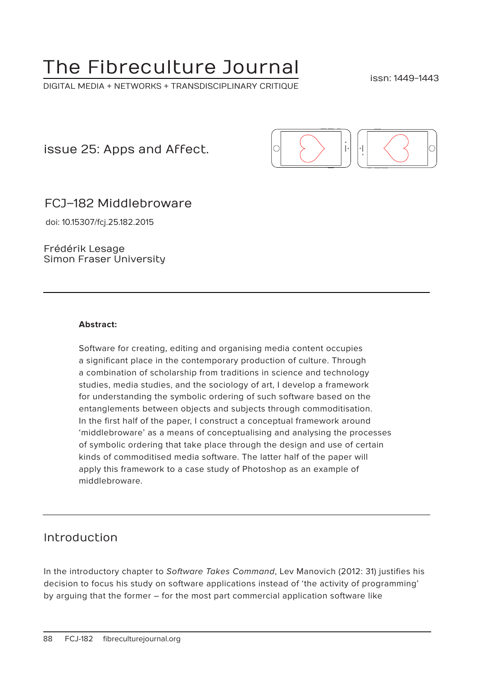# The Fibreculture Journal

DIGITAL MEDIA + NETWORKS + TRANSDISCIPLINARY CRITIQUE

issn: 1449-1443

issue 25: Apps and Affect.



FCJ–182 Middlebroware

doi: 10.15307/fcj.25.182.2015

Frédérik Lesage Simon Fraser University

#### **Abstract:**

Software for creating, editing and organising media content occupies a significant place in the contemporary production of culture. Through a combination of scholarship from traditions in science and technology studies, media studies, and the sociology of art, I develop a framework for understanding the symbolic ordering of such software based on the entanglements between objects and subjects through commoditisation. In the first half of the paper, I construct a conceptual framework around 'middlebroware' as a means of conceptualising and analysing the processes of symbolic ordering that take place through the design and use of certain kinds of commoditised media software. The latter half of the paper will apply this framework to a case study of Photoshop as an example of middlebroware.

#### Introduction

In the introductory chapter to Software Takes Command, Lev Manovich (2012: 31) justifies his decision to focus his study on software applications instead of 'the activity of programming' by arguing that the former – for the most part commercial application software like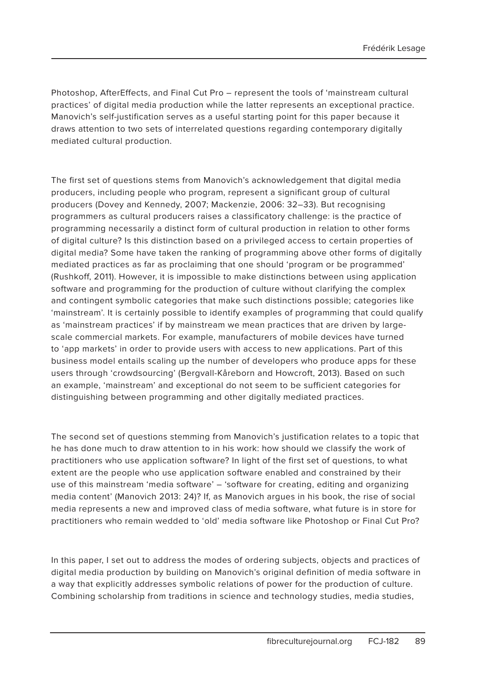Photoshop, AfterEffects, and Final Cut Pro – represent the tools of 'mainstream cultural practices' of digital media production while the latter represents an exceptional practice. Manovich's self-justification serves as a useful starting point for this paper because it draws attention to two sets of interrelated questions regarding contemporary digitally mediated cultural production.

The first set of questions stems from Manovich's acknowledgement that digital media producers, including people who program, represent a significant group of cultural producers (Dovey and Kennedy, 2007; Mackenzie, 2006: 32–33). But recognising programmers as cultural producers raises a classificatory challenge: is the practice of programming necessarily a distinct form of cultural production in relation to other forms of digital culture? Is this distinction based on a privileged access to certain properties of digital media? Some have taken the ranking of programming above other forms of digitally mediated practices as far as proclaiming that one should 'program or be programmed' (Rushkoff, 2011). However, it is impossible to make distinctions between using application software and programming for the production of culture without clarifying the complex and contingent symbolic categories that make such distinctions possible; categories like 'mainstream'. It is certainly possible to identify examples of programming that could qualify as 'mainstream practices' if by mainstream we mean practices that are driven by largescale commercial markets. For example, manufacturers of mobile devices have turned to 'app markets' in order to provide users with access to new applications. Part of this business model entails scaling up the number of developers who produce apps for these users through 'crowdsourcing' (Bergvall-Kåreborn and Howcroft, 2013). Based on such an example, 'mainstream' and exceptional do not seem to be sufficient categories for distinguishing between programming and other digitally mediated practices.

The second set of questions stemming from Manovich's justification relates to a topic that he has done much to draw attention to in his work: how should we classify the work of practitioners who use application software? In light of the first set of questions, to what extent are the people who use application software enabled and constrained by their use of this mainstream 'media software' – 'software for creating, editing and organizing media content' (Manovich 2013: 24)? If, as Manovich argues in his book, the rise of social media represents a new and improved class of media software, what future is in store for practitioners who remain wedded to 'old' media software like Photoshop or Final Cut Pro?

In this paper, I set out to address the modes of ordering subjects, objects and practices of digital media production by building on Manovich's original definition of media software in a way that explicitly addresses symbolic relations of power for the production of culture. Combining scholarship from traditions in science and technology studies, media studies,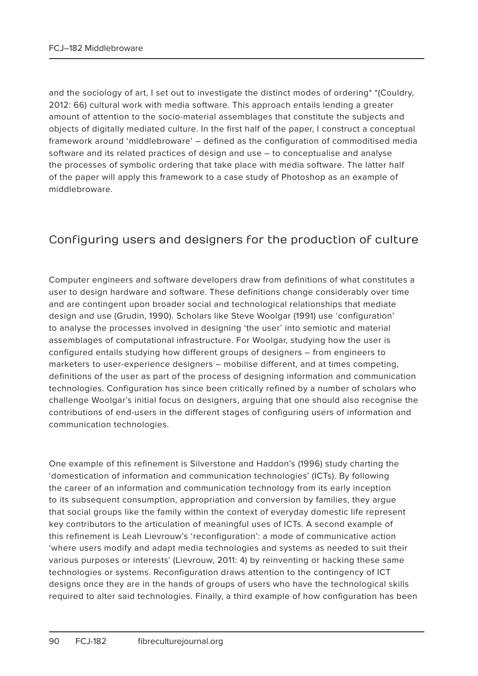and the sociology of art, I set out to investigate the distinct modes of ordering\* \*(Couldry, 2012: 66) cultural work with media software. This approach entails lending a greater amount of attention to the socio-material assemblages that constitute the subjects and objects of digitally mediated culture. In the first half of the paper, I construct a conceptual framework around 'middlebroware' – defined as the configuration of commoditised media software and its related practices of design and use – to conceptualise and analyse the processes of symbolic ordering that take place with media software. The latter half of the paper will apply this framework to a case study of Photoshop as an example of middlebroware.

## Configuring users and designers for the production of culture

Computer engineers and software developers draw from definitions of what constitutes a user to design hardware and software. These definitions change considerably over time and are contingent upon broader social and technological relationships that mediate design and use (Grudin, 1990). Scholars like Steve Woolgar (1991) use 'configuration' to analyse the processes involved in designing 'the user' into semiotic and material assemblages of computational infrastructure. For Woolgar, studying how the user is configured entails studying how different groups of designers – from engineers to marketers to user-experience designers – mobilise different, and at times competing, definitions of the user as part of the process of designing information and communication technologies. Configuration has since been critically refined by a number of scholars who challenge Woolgar's initial focus on designers, arguing that one should also recognise the contributions of end-users in the different stages of configuring users of information and communication technologies.

One example of this refinement is Silverstone and Haddon's (1996) study charting the 'domestication of information and communication technologies' (ICTs). By following the career of an information and communication technology from its early inception to its subsequent consumption, appropriation and conversion by families, they argue that social groups like the family within the context of everyday domestic life represent key contributors to the articulation of meaningful uses of ICTs. A second example of this refinement is Leah Lievrouw's 'reconfiguration': a mode of communicative action 'where users modify and adapt media technologies and systems as needed to suit their various purposes or interests' (Lievrouw, 2011: 4) by reinventing or hacking these same technologies or systems. Reconfiguration draws attention to the contingency of ICT designs once they are in the hands of groups of users who have the technological skills required to alter said technologies. Finally, a third example of how configuration has been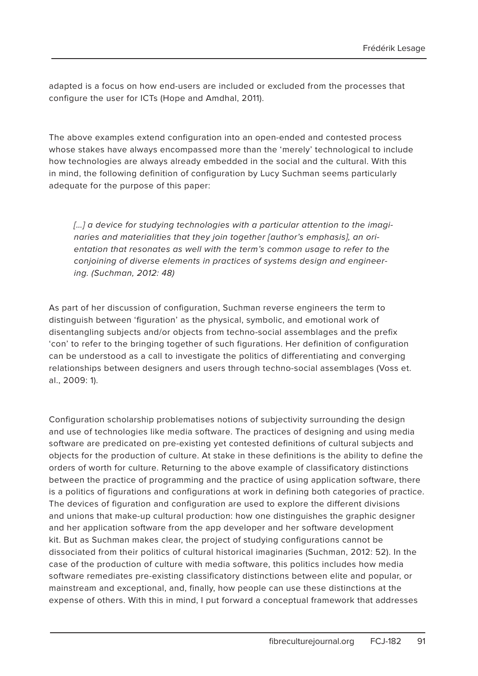adapted is a focus on how end-users are included or excluded from the processes that configure the user for ICTs (Hope and Amdhal, 2011).

The above examples extend configuration into an open-ended and contested process whose stakes have always encompassed more than the 'merely' technological to include how technologies are always already embedded in the social and the cultural. With this in mind, the following definition of configuration by Lucy Suchman seems particularly adequate for the purpose of this paper:

[...] a device for studying technologies with a particular attention to the imaginaries and materialities that they join together [author's emphasis], an orientation that resonates as well with the term's common usage to refer to the conjoining of diverse elements in practices of systems design and engineering. (Suchman, 2012: 48)

As part of her discussion of configuration, Suchman reverse engineers the term to distinguish between 'figuration' as the physical, symbolic, and emotional work of disentangling subjects and/or objects from techno-social assemblages and the prefix 'con' to refer to the bringing together of such figurations. Her definition of configuration can be understood as a call to investigate the politics of differentiating and converging relationships between designers and users through techno-social assemblages (Voss et. al., 2009: 1).

Configuration scholarship problematises notions of subjectivity surrounding the design and use of technologies like media software. The practices of designing and using media software are predicated on pre-existing yet contested definitions of cultural subjects and objects for the production of culture. At stake in these definitions is the ability to define the orders of worth for culture. Returning to the above example of classificatory distinctions between the practice of programming and the practice of using application software, there is a politics of figurations and configurations at work in defining both categories of practice. The devices of figuration and configuration are used to explore the different divisions and unions that make-up cultural production: how one distinguishes the graphic designer and her application software from the app developer and her software development kit. But as Suchman makes clear, the project of studying configurations cannot be dissociated from their politics of cultural historical imaginaries (Suchman, 2012: 52). In the case of the production of culture with media software, this politics includes how media software remediates pre-existing classificatory distinctions between elite and popular, or mainstream and exceptional, and, finally, how people can use these distinctions at the expense of others. With this in mind, I put forward a conceptual framework that addresses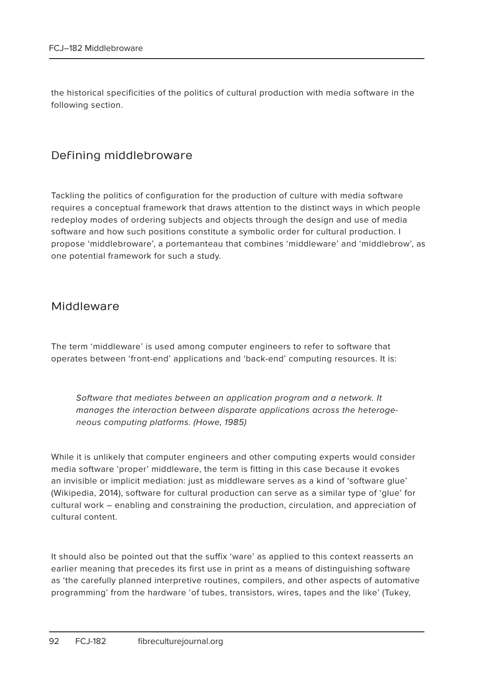the historical specificities of the politics of cultural production with media software in the following section.

#### Defining middlebroware

Tackling the politics of configuration for the production of culture with media software requires a conceptual framework that draws attention to the distinct ways in which people redeploy modes of ordering subjects and objects through the design and use of media software and how such positions constitute a symbolic order for cultural production. I propose 'middlebroware', a portemanteau that combines 'middleware' and 'middlebrow', as one potential framework for such a study.

#### Middleware

The term 'middleware' is used among computer engineers to refer to software that operates between 'front-end' applications and 'back-end' computing resources. It is:

Software that mediates between an application program and a network. It manages the interaction between disparate applications across the heterogeneous computing platforms. (Howe, 1985)

While it is unlikely that computer engineers and other computing experts would consider media software 'proper' middleware, the term is fitting in this case because it evokes an invisible or implicit mediation: just as middleware serves as a kind of 'software glue' (Wikipedia, 2014), software for cultural production can serve as a similar type of 'glue' for cultural work – enabling and constraining the production, circulation, and appreciation of cultural content.

It should also be pointed out that the suffix 'ware' as applied to this context reasserts an earlier meaning that precedes its first use in print as a means of distinguishing software as 'the carefully planned interpretive routines, compilers, and other aspects of automative programming' from the hardware 'of tubes, transistors, wires, tapes and the like' (Tukey,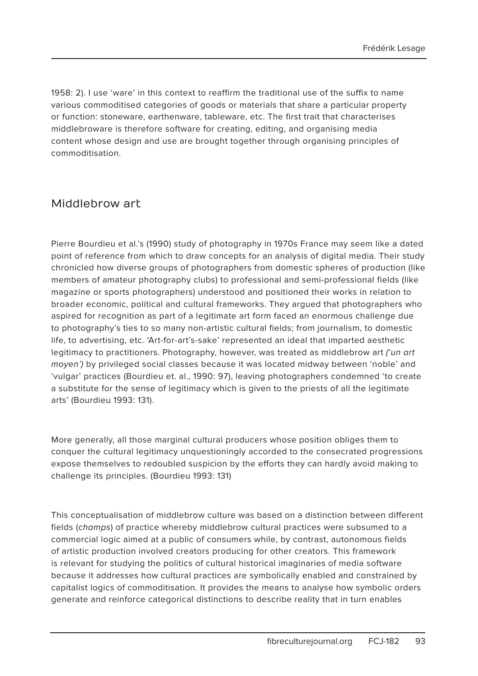1958: 2). I use 'ware' in this context to reaffirm the traditional use of the suffix to name various commoditised categories of goods or materials that share a particular property or function: stoneware, earthenware, tableware, etc. The first trait that characterises middlebroware is therefore software for creating, editing, and organising media content whose design and use are brought together through organising principles of commoditisation.

#### Middlebrow art

Pierre Bourdieu et al.'s (1990) study of photography in 1970s France may seem like a dated point of reference from which to draw concepts for an analysis of digital media. Their study chronicled how diverse groups of photographers from domestic spheres of production (like members of amateur photography clubs) to professional and semi-professional fields (like magazine or sports photographers) understood and positioned their works in relation to broader economic, political and cultural frameworks. They argued that photographers who aspired for recognition as part of a legitimate art form faced an enormous challenge due to photography's ties to so many non-artistic cultural fields; from journalism, to domestic life, to advertising, etc. 'Art-for-art's-sake' represented an ideal that imparted aesthetic legitimacy to practitioners. Photography, however, was treated as middlebrow art *('un art* moyen') by privileged social classes because it was located midway between 'noble' and 'vulgar' practices (Bourdieu et. al., 1990: 97), leaving photographers condemned 'to create a substitute for the sense of legitimacy which is given to the priests of all the legitimate arts' (Bourdieu 1993: 131).

More generally, all those marginal cultural producers whose position obliges them to conquer the cultural legitimacy unquestioningly accorded to the consecrated progressions expose themselves to redoubled suspicion by the efforts they can hardly avoid making to challenge its principles. (Bourdieu 1993: 131)

This conceptualisation of middlebrow culture was based on a distinction between different fields (champs) of practice whereby middlebrow cultural practices were subsumed to a commercial logic aimed at a public of consumers while, by contrast, autonomous fields of artistic production involved creators producing for other creators. This framework is relevant for studying the politics of cultural historical imaginaries of media software because it addresses how cultural practices are symbolically enabled and constrained by capitalist logics of commoditisation. It provides the means to analyse how symbolic orders generate and reinforce categorical distinctions to describe reality that in turn enables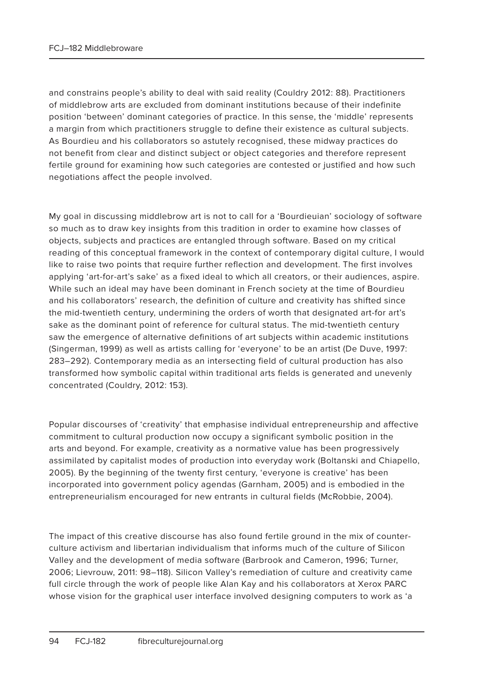and constrains people's ability to deal with said reality (Couldry 2012: 88). Practitioners of middlebrow arts are excluded from dominant institutions because of their indefinite position 'between' dominant categories of practice. In this sense, the 'middle' represents a margin from which practitioners struggle to define their existence as cultural subjects. As Bourdieu and his collaborators so astutely recognised, these midway practices do not benefit from clear and distinct subject or object categories and therefore represent fertile ground for examining how such categories are contested or justified and how such negotiations affect the people involved.

My goal in discussing middlebrow art is not to call for a 'Bourdieuian' sociology of software so much as to draw key insights from this tradition in order to examine how classes of objects, subjects and practices are entangled through software. Based on my critical reading of this conceptual framework in the context of contemporary digital culture, I would like to raise two points that require further reflection and development. The first involves applying 'art-for-art's sake' as a fixed ideal to which all creators, or their audiences, aspire. While such an ideal may have been dominant in French society at the time of Bourdieu and his collaborators' research, the definition of culture and creativity has shifted since the mid-twentieth century, undermining the orders of worth that designated art-for art's sake as the dominant point of reference for cultural status. The mid-twentieth century saw the emergence of alternative definitions of art subjects within academic institutions (Singerman, 1999) as well as artists calling for 'everyone' to be an artist (De Duve, 1997: 283–292). Contemporary media as an intersecting field of cultural production has also transformed how symbolic capital within traditional arts fields is generated and unevenly concentrated (Couldry, 2012: 153).

Popular discourses of 'creativity' that emphasise individual entrepreneurship and affective commitment to cultural production now occupy a significant symbolic position in the arts and beyond. For example, creativity as a normative value has been progressively assimilated by capitalist modes of production into everyday work (Boltanski and Chiapello, 2005). By the beginning of the twenty first century, 'everyone is creative' has been incorporated into government policy agendas (Garnham, 2005) and is embodied in the entrepreneurialism encouraged for new entrants in cultural fields (McRobbie, 2004).

The impact of this creative discourse has also found fertile ground in the mix of counterculture activism and libertarian individualism that informs much of the culture of Silicon Valley and the development of media software (Barbrook and Cameron, 1996; Turner, 2006; Lievrouw, 2011: 98–118). Silicon Valley's remediation of culture and creativity came full circle through the work of people like Alan Kay and his collaborators at Xerox PARC whose vision for the graphical user interface involved designing computers to work as 'a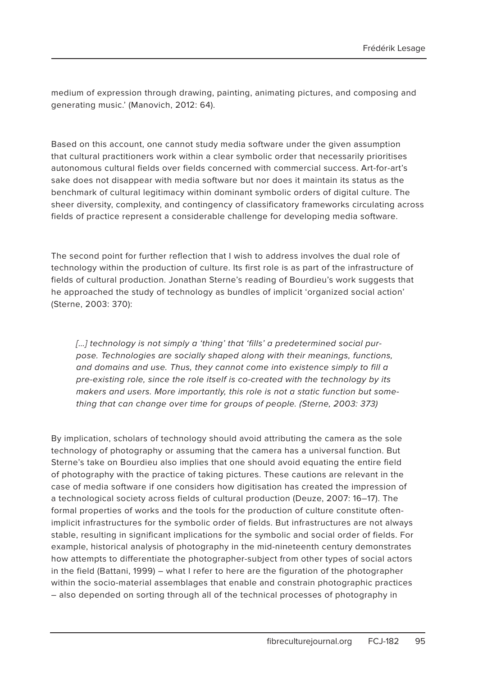medium of expression through drawing, painting, animating pictures, and composing and generating music.' (Manovich, 2012: 64).

Based on this account, one cannot study media software under the given assumption that cultural practitioners work within a clear symbolic order that necessarily prioritises autonomous cultural fields over fields concerned with commercial success. Art-for-art's sake does not disappear with media software but nor does it maintain its status as the benchmark of cultural legitimacy within dominant symbolic orders of digital culture. The sheer diversity, complexity, and contingency of classificatory frameworks circulating across fields of practice represent a considerable challenge for developing media software.

The second point for further reflection that I wish to address involves the dual role of technology within the production of culture. Its first role is as part of the infrastructure of fields of cultural production. Jonathan Sterne's reading of Bourdieu's work suggests that he approached the study of technology as bundles of implicit 'organized social action' (Sterne, 2003: 370):

[...] technology is not simply a 'thing' that 'fills' a predetermined social purpose. Technologies are socially shaped along with their meanings, functions, and domains and use. Thus, they cannot come into existence simply to fill a pre-existing role, since the role itself is co-created with the technology by its makers and users. More importantly, this role is not a static function but something that can change over time for groups of people. (Sterne, 2003: 373)

By implication, scholars of technology should avoid attributing the camera as the sole technology of photography or assuming that the camera has a universal function. But Sterne's take on Bourdieu also implies that one should avoid equating the entire field of photography with the practice of taking pictures. These cautions are relevant in the case of media software if one considers how digitisation has created the impression of a technological society across fields of cultural production (Deuze, 2007: 16–17). The formal properties of works and the tools for the production of culture constitute oftenimplicit infrastructures for the symbolic order of fields. But infrastructures are not always stable, resulting in significant implications for the symbolic and social order of fields. For example, historical analysis of photography in the mid-nineteenth century demonstrates how attempts to differentiate the photographer-subject from other types of social actors in the field (Battani, 1999) – what I refer to here are the figuration of the photographer within the socio-material assemblages that enable and constrain photographic practices – also depended on sorting through all of the technical processes of photography in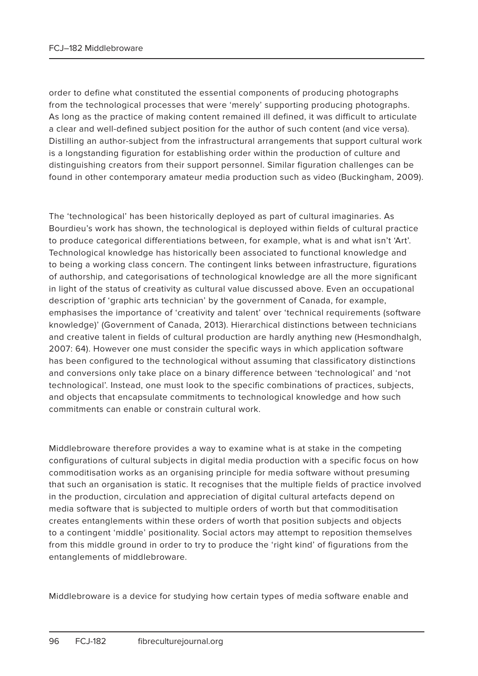order to define what constituted the essential components of producing photographs from the technological processes that were 'merely' supporting producing photographs. As long as the practice of making content remained ill defined, it was difficult to articulate a clear and well-defined subject position for the author of such content (and vice versa). Distilling an author-subject from the infrastructural arrangements that support cultural work is a longstanding figuration for establishing order within the production of culture and distinguishing creators from their support personnel. Similar figuration challenges can be found in other contemporary amateur media production such as video (Buckingham, 2009).

The 'technological' has been historically deployed as part of cultural imaginaries. As Bourdieu's work has shown, the technological is deployed within fields of cultural practice to produce categorical differentiations between, for example, what is and what isn't 'Art'. Technological knowledge has historically been associated to functional knowledge and to being a working class concern. The contingent links between infrastructure, figurations of authorship, and categorisations of technological knowledge are all the more significant in light of the status of creativity as cultural value discussed above. Even an occupational description of 'graphic arts technician' by the government of Canada, for example, emphasises the importance of 'creativity and talent' over 'technical requirements (software knowledge)' (Government of Canada, 2013). Hierarchical distinctions between technicians and creative talent in fields of cultural production are hardly anything new (Hesmondhalgh, 2007: 64). However one must consider the specific ways in which application software has been configured to the technological without assuming that classificatory distinctions and conversions only take place on a binary difference between 'technological' and 'not technological'. Instead, one must look to the specific combinations of practices, subjects, and objects that encapsulate commitments to technological knowledge and how such commitments can enable or constrain cultural work.

Middlebroware therefore provides a way to examine what is at stake in the competing configurations of cultural subjects in digital media production with a specific focus on how commoditisation works as an organising principle for media software without presuming that such an organisation is static. It recognises that the multiple fields of practice involved in the production, circulation and appreciation of digital cultural artefacts depend on media software that is subjected to multiple orders of worth but that commoditisation creates entanglements within these orders of worth that position subjects and objects to a contingent 'middle' positionality. Social actors may attempt to reposition themselves from this middle ground in order to try to produce the 'right kind' of figurations from the entanglements of middlebroware.

Middlebroware is a device for studying how certain types of media software enable and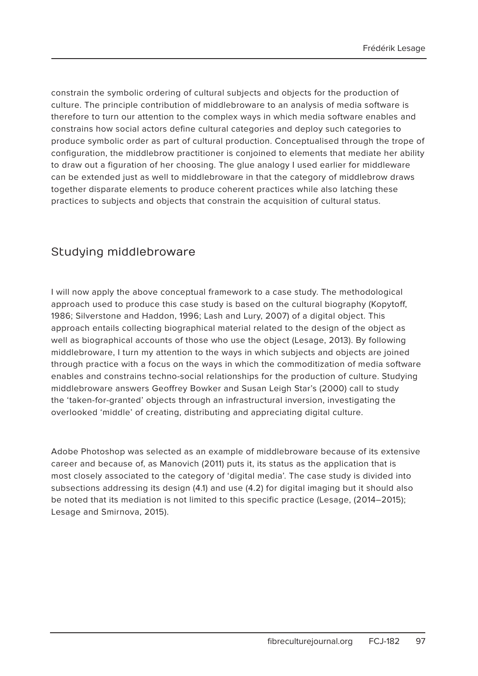constrain the symbolic ordering of cultural subjects and objects for the production of culture. The principle contribution of middlebroware to an analysis of media software is therefore to turn our attention to the complex ways in which media software enables and constrains how social actors define cultural categories and deploy such categories to produce symbolic order as part of cultural production. Conceptualised through the trope of configuration, the middlebrow practitioner is conjoined to elements that mediate her ability to draw out a figuration of her choosing. The glue analogy I used earlier for middleware can be extended just as well to middlebroware in that the category of middlebrow draws together disparate elements to produce coherent practices while also latching these practices to subjects and objects that constrain the acquisition of cultural status.

#### Studying middlebroware

I will now apply the above conceptual framework to a case study. The methodological approach used to produce this case study is based on the cultural biography (Kopytoff, 1986; Silverstone and Haddon, 1996; Lash and Lury, 2007) of a digital object. This approach entails collecting biographical material related to the design of the object as well as biographical accounts of those who use the object (Lesage, 2013). By following middlebroware, I turn my attention to the ways in which subjects and objects are joined through practice with a focus on the ways in which the commoditization of media software enables and constrains techno-social relationships for the production of culture. Studying middlebroware answers Geoffrey Bowker and Susan Leigh Star's (2000) call to study the 'taken-for-granted' objects through an infrastructural inversion, investigating the overlooked 'middle' of creating, distributing and appreciating digital culture.

Adobe Photoshop was selected as an example of middlebroware because of its extensive career and because of, as Manovich (2011) puts it, its status as the application that is most closely associated to the category of 'digital media'. The case study is divided into subsections addressing its design (4.1) and use (4.2) for digital imaging but it should also be noted that its mediation is not limited to this specific practice (Lesage, (2014–2015); Lesage and Smirnova, 2015).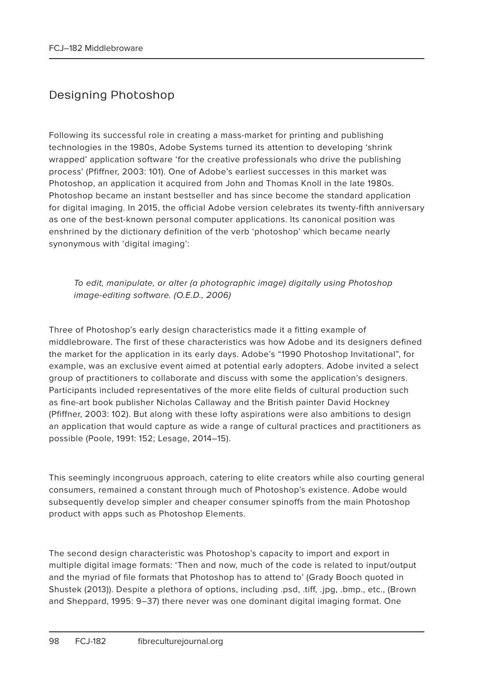# Designing Photoshop

Following its successful role in creating a mass-market for printing and publishing technologies in the 1980s, Adobe Systems turned its attention to developing 'shrink wrapped' application software 'for the creative professionals who drive the publishing process' (Pfiffner, 2003: 101). One of Adobe's earliest successes in this market was Photoshop, an application it acquired from John and Thomas Knoll in the late 1980s. Photoshop became an instant bestseller and has since become the standard application for digital imaging. In 2015, the official Adobe version celebrates its twenty-fifth anniversary as one of the best-known personal computer applications. Its canonical position was enshrined by the dictionary definition of the verb 'photoshop' which became nearly synonymous with 'digital imaging':

To edit, manipulate, or alter (a photographic image) digitally using Photoshop image-editing software. (O.E.D., 2006)

Three of Photoshop's early design characteristics made it a fitting example of middlebroware. The first of these characteristics was how Adobe and its designers defined the market for the application in its early days. Adobe's "1990 Photoshop Invitational", for example, was an exclusive event aimed at potential early adopters. Adobe invited a select group of practitioners to collaborate and discuss with some the application's designers. Participants included representatives of the more elite fields of cultural production such as fine-art book publisher Nicholas Callaway and the British painter David Hockney (Pfiffner, 2003: 102). But along with these lofty aspirations were also ambitions to design an application that would capture as wide a range of cultural practices and practitioners as possible (Poole, 1991: 152; Lesage, 2014–15).

This seemingly incongruous approach, catering to elite creators while also courting general consumers, remained a constant through much of Photoshop's existence. Adobe would subsequently develop simpler and cheaper consumer spinoffs from the main Photoshop product with apps such as Photoshop Elements.

The second design characteristic was Photoshop's capacity to import and export in multiple digital image formats: 'Then and now, much of the code is related to input/output and the myriad of file formats that Photoshop has to attend to' (Grady Booch quoted in Shustek (2013)). Despite a plethora of options, including .psd, .tiff, .jpg, .bmp., etc., (Brown and Sheppard, 1995: 9–37) there never was one dominant digital imaging format. One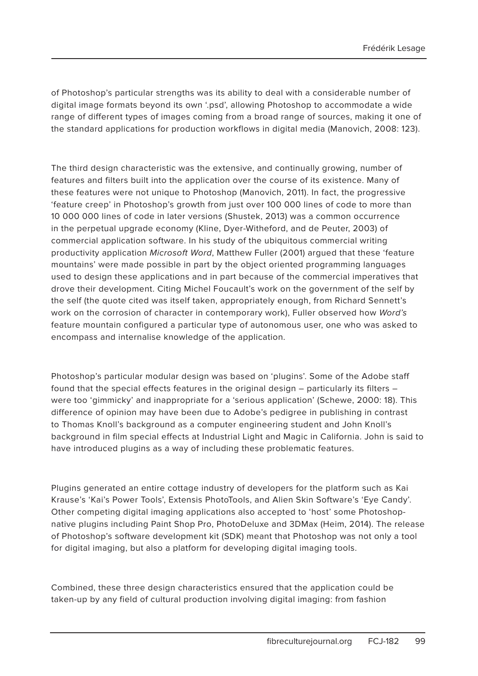of Photoshop's particular strengths was its ability to deal with a considerable number of digital image formats beyond its own '.psd', allowing Photoshop to accommodate a wide range of different types of images coming from a broad range of sources, making it one of the standard applications for production workflows in digital media (Manovich, 2008: 123).

The third design characteristic was the extensive, and continually growing, number of features and filters built into the application over the course of its existence. Many of these features were not unique to Photoshop (Manovich, 2011). In fact, the progressive 'feature creep' in Photoshop's growth from just over 100 000 lines of code to more than 10 000 000 lines of code in later versions (Shustek, 2013) was a common occurrence in the perpetual upgrade economy (Kline, Dyer-Witheford, and de Peuter, 2003) of commercial application software. In his study of the ubiquitous commercial writing productivity application Microsoft Word, Matthew Fuller (2001) argued that these 'feature mountains' were made possible in part by the object oriented programming languages used to design these applications and in part because of the commercial imperatives that drove their development. Citing Michel Foucault's work on the government of the self by the self (the quote cited was itself taken, appropriately enough, from Richard Sennett's work on the corrosion of character in contemporary work), Fuller observed how Word's feature mountain configured a particular type of autonomous user, one who was asked to encompass and internalise knowledge of the application.

Photoshop's particular modular design was based on 'plugins'. Some of the Adobe staff found that the special effects features in the original design – particularly its filters – were too 'gimmicky' and inappropriate for a 'serious application' (Schewe, 2000: 18). This difference of opinion may have been due to Adobe's pedigree in publishing in contrast to Thomas Knoll's background as a computer engineering student and John Knoll's background in film special effects at Industrial Light and Magic in California. John is said to have introduced plugins as a way of including these problematic features.

Plugins generated an entire cottage industry of developers for the platform such as Kai Krause's 'Kai's Power Tools', Extensis PhotoTools, and Alien Skin Software's 'Eye Candy'. Other competing digital imaging applications also accepted to 'host' some Photoshopnative plugins including Paint Shop Pro, PhotoDeluxe and 3DMax (Heim, 2014). The release of Photoshop's software development kit (SDK) meant that Photoshop was not only a tool for digital imaging, but also a platform for developing digital imaging tools.

Combined, these three design characteristics ensured that the application could be taken-up by any field of cultural production involving digital imaging: from fashion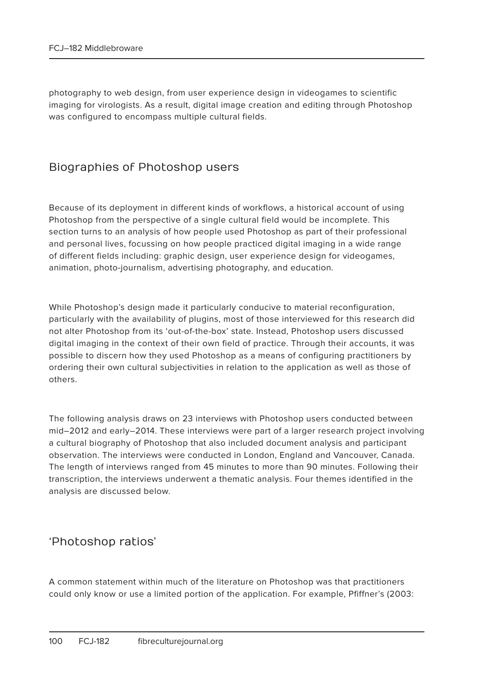photography to web design, from user experience design in videogames to scientific imaging for virologists. As a result, digital image creation and editing through Photoshop was configured to encompass multiple cultural fields.

#### Biographies of Photoshop users

Because of its deployment in different kinds of workflows, a historical account of using Photoshop from the perspective of a single cultural field would be incomplete. This section turns to an analysis of how people used Photoshop as part of their professional and personal lives, focussing on how people practiced digital imaging in a wide range of different fields including: graphic design, user experience design for videogames, animation, photo-journalism, advertising photography, and education.

While Photoshop's design made it particularly conducive to material reconfiguration, particularly with the availability of plugins, most of those interviewed for this research did not alter Photoshop from its 'out-of-the-box' state. Instead, Photoshop users discussed digital imaging in the context of their own field of practice. Through their accounts, it was possible to discern how they used Photoshop as a means of configuring practitioners by ordering their own cultural subjectivities in relation to the application as well as those of others.

The following analysis draws on 23 interviews with Photoshop users conducted between mid–2012 and early–2014. These interviews were part of a larger research project involving a cultural biography of Photoshop that also included document analysis and participant observation. The interviews were conducted in London, England and Vancouver, Canada. The length of interviews ranged from 45 minutes to more than 90 minutes. Following their transcription, the interviews underwent a thematic analysis. Four themes identified in the analysis are discussed below.

#### 'Photoshop ratios'

A common statement within much of the literature on Photoshop was that practitioners could only know or use a limited portion of the application. For example, Pfiffner's (2003: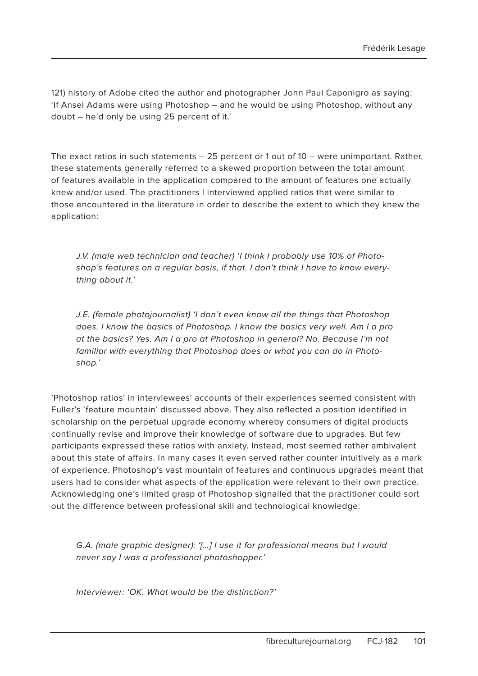121) history of Adobe cited the author and photographer John Paul Caponigro as saying: 'If Ansel Adams were using Photoshop – and he would be using Photoshop, without any doubt – he'd only be using 25 percent of it.'

The exact ratios in such statements – 25 percent or 1 out of 10 – were unimportant. Rather, these statements generally referred to a skewed proportion between the total amount of features available in the application compared to the amount of features one actually knew and/or used. The practitioners I interviewed applied ratios that were similar to those encountered in the literature in order to describe the extent to which they knew the application:

J.V. (male web technician and teacher) 'I think I probably use 10% of Photoshop's features on a regular basis, if that. I don't think I have to know everything about it.'

J.E. (female photojournalist) 'I don't even know all the things that Photoshop does. I know the basics of Photoshop. I know the basics very well. Am I a pro at the basics? Yes. Am I a pro at Photoshop in general? No. Because I'm not familiar with everything that Photoshop does or what you can do in Photoshop.'

'Photoshop ratios' in interviewees' accounts of their experiences seemed consistent with Fuller's 'feature mountain' discussed above. They also reflected a position identified in scholarship on the perpetual upgrade economy whereby consumers of digital products continually revise and improve their knowledge of software due to upgrades. But few participants expressed these ratios with anxiety. Instead, most seemed rather ambivalent about this state of affairs. In many cases it even served rather counter intuitively as a mark of experience. Photoshop's vast mountain of features and continuous upgrades meant that users had to consider what aspects of the application were relevant to their own practice. Acknowledging one's limited grasp of Photoshop signalled that the practitioner could sort out the difference between professional skill and technological knowledge:

G.A. (male graphic designer): '[…] I use it for professional means but I would never say I was a professional photoshopper.'

Interviewer: 'OK. What would be the distinction?'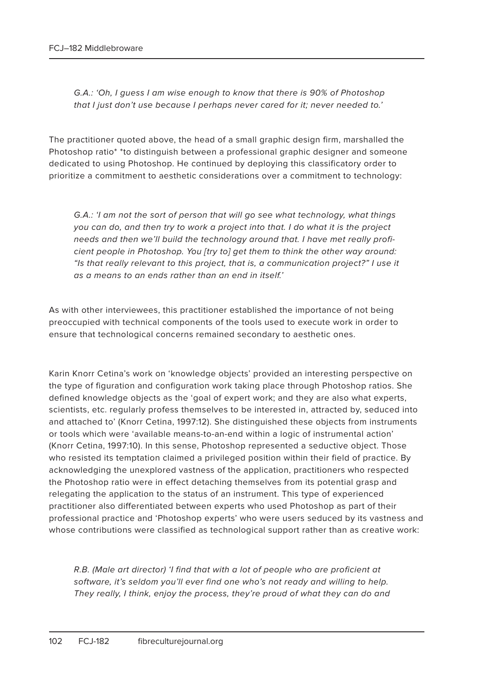G.A.: 'Oh, I guess I am wise enough to know that there is 90% of Photoshop that I just don't use because I perhaps never cared for it; never needed to.'

The practitioner quoted above, the head of a small graphic design firm, marshalled the Photoshop ratio\* \*to distinguish between a professional graphic designer and someone dedicated to using Photoshop. He continued by deploying this classificatory order to prioritize a commitment to aesthetic considerations over a commitment to technology:

G.A.: 'I am not the sort of person that will go see what technology, what things you can do, and then try to work a project into that. I do what it is the project needs and then we'll build the technology around that. I have met really proficient people in Photoshop. You [try to] get them to think the other way around: "Is that really relevant to this project, that is, a communication project?" I use it as a means to an ends rather than an end in itself.'

As with other interviewees, this practitioner established the importance of not being preoccupied with technical components of the tools used to execute work in order to ensure that technological concerns remained secondary to aesthetic ones.

Karin Knorr Cetina's work on 'knowledge objects' provided an interesting perspective on the type of figuration and configuration work taking place through Photoshop ratios. She defined knowledge objects as the 'goal of expert work; and they are also what experts, scientists, etc. regularly profess themselves to be interested in, attracted by, seduced into and attached to' (Knorr Cetina, 1997:12). She distinguished these objects from instruments or tools which were 'available means-to-an-end within a logic of instrumental action' (Knorr Cetina, 1997:10). In this sense, Photoshop represented a seductive object. Those who resisted its temptation claimed a privileged position within their field of practice. By acknowledging the unexplored vastness of the application, practitioners who respected the Photoshop ratio were in effect detaching themselves from its potential grasp and relegating the application to the status of an instrument. This type of experienced practitioner also differentiated between experts who used Photoshop as part of their professional practice and 'Photoshop experts' who were users seduced by its vastness and whose contributions were classified as technological support rather than as creative work:

R.B. (Male art director) 'I find that with a lot of people who are proficient at software, it's seldom you'll ever find one who's not ready and willing to help. They really, I think, enjoy the process, they're proud of what they can do and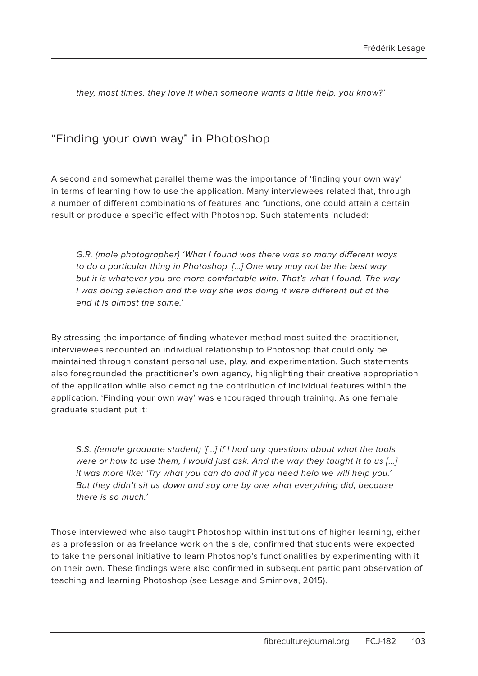they, most times, they love it when someone wants a little help, you know?'

#### "Finding your own way" in Photoshop

A second and somewhat parallel theme was the importance of 'finding your own way' in terms of learning how to use the application. Many interviewees related that, through a number of different combinations of features and functions, one could attain a certain result or produce a specific effect with Photoshop. Such statements included:

G.R. (male photographer) 'What I found was there was so many different ways to do a particular thing in Photoshop. […] One way may not be the best way but it is whatever you are more comfortable with. That's what I found. The way I was doing selection and the way she was doing it were different but at the end it is almost the same.'

By stressing the importance of finding whatever method most suited the practitioner, interviewees recounted an individual relationship to Photoshop that could only be maintained through constant personal use, play, and experimentation. Such statements also foregrounded the practitioner's own agency, highlighting their creative appropriation of the application while also demoting the contribution of individual features within the application. 'Finding your own way' was encouraged through training. As one female graduate student put it:

S.S. (female graduate student) '[...] if I had any questions about what the tools were or how to use them, I would just ask. And the way they taught it to us [...] it was more like: 'Try what you can do and if you need help we will help you.' But they didn't sit us down and say one by one what everything did, because there is so much.'

Those interviewed who also taught Photoshop within institutions of higher learning, either as a profession or as freelance work on the side, confirmed that students were expected to take the personal initiative to learn Photoshop's functionalities by experimenting with it on their own. These findings were also confirmed in subsequent participant observation of teaching and learning Photoshop (see Lesage and Smirnova, 2015).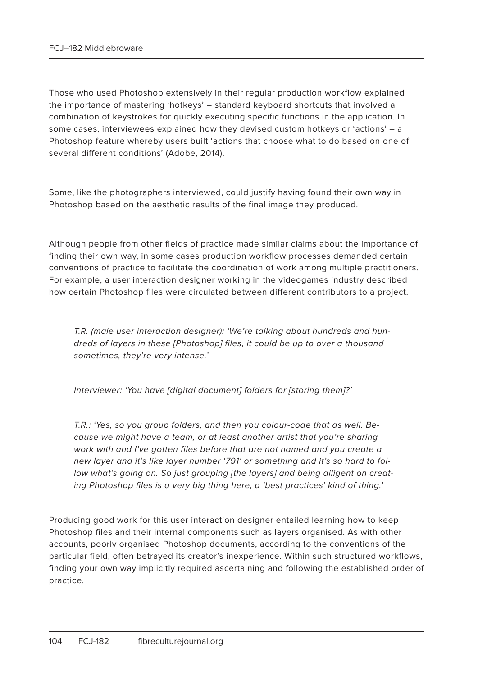Those who used Photoshop extensively in their regular production workflow explained the importance of mastering 'hotkeys' – standard keyboard shortcuts that involved a combination of keystrokes for quickly executing specific functions in the application. In some cases, interviewees explained how they devised custom hotkeys or 'actions' – a Photoshop feature whereby users built 'actions that choose what to do based on one of several different conditions' (Adobe, 2014).

Some, like the photographers interviewed, could justify having found their own way in Photoshop based on the aesthetic results of the final image they produced.

Although people from other fields of practice made similar claims about the importance of finding their own way, in some cases production workflow processes demanded certain conventions of practice to facilitate the coordination of work among multiple practitioners. For example, a user interaction designer working in the videogames industry described how certain Photoshop files were circulated between different contributors to a project.

T.R. (male user interaction designer): 'We're talking about hundreds and hundreds of layers in these [Photoshop] files, it could be up to over a thousand sometimes, they're very intense.'

Interviewer: 'You have [digital document] folders for [storing them]?'

T.R.: 'Yes, so you group folders, and then you colour-code that as well. Because we might have a team, or at least another artist that you're sharing work with and I've gotten files before that are not named and you create a new layer and it's like layer number '791' or something and it's so hard to follow what's going on. So just grouping [the layers] and being diligent on creating Photoshop files is a very big thing here, a 'best practices' kind of thing.'

Producing good work for this user interaction designer entailed learning how to keep Photoshop files and their internal components such as layers organised. As with other accounts, poorly organised Photoshop documents, according to the conventions of the particular field, often betrayed its creator's inexperience. Within such structured workflows, finding your own way implicitly required ascertaining and following the established order of practice.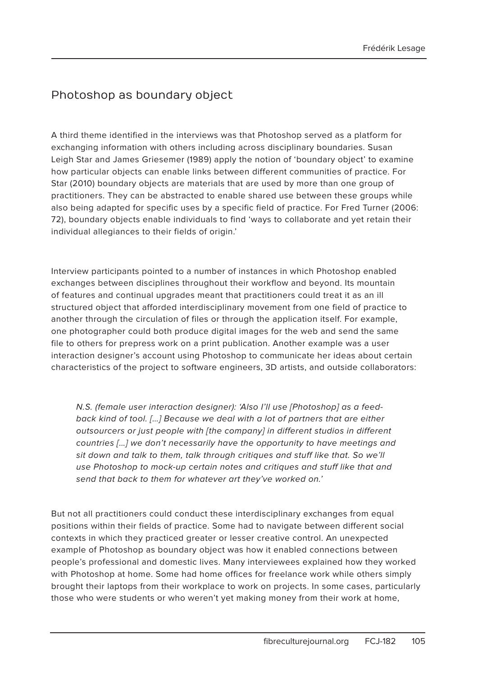### Photoshop as boundary object

A third theme identified in the interviews was that Photoshop served as a platform for exchanging information with others including across disciplinary boundaries. Susan Leigh Star and James Griesemer (1989) apply the notion of 'boundary object' to examine how particular objects can enable links between different communities of practice. For Star (2010) boundary objects are materials that are used by more than one group of practitioners. They can be abstracted to enable shared use between these groups while also being adapted for specific uses by a specific field of practice. For Fred Turner (2006: 72), boundary objects enable individuals to find 'ways to collaborate and yet retain their individual allegiances to their fields of origin.'

Interview participants pointed to a number of instances in which Photoshop enabled exchanges between disciplines throughout their workflow and beyond. Its mountain of features and continual upgrades meant that practitioners could treat it as an ill structured object that afforded interdisciplinary movement from one field of practice to another through the circulation of files or through the application itself. For example, one photographer could both produce digital images for the web and send the same file to others for prepress work on a print publication. Another example was a user interaction designer's account using Photoshop to communicate her ideas about certain characteristics of the project to software engineers, 3D artists, and outside collaborators:

N.S. (female user interaction designer): 'Also I'll use [Photoshop] as a feedback kind of tool. […] Because we deal with a lot of partners that are either outsourcers or just people with [the company] in different studios in different countries […] we don't necessarily have the opportunity to have meetings and sit down and talk to them, talk through critiques and stuff like that. So we'll use Photoshop to mock-up certain notes and critiques and stuff like that and send that back to them for whatever art they've worked on.'

But not all practitioners could conduct these interdisciplinary exchanges from equal positions within their fields of practice. Some had to navigate between different social contexts in which they practiced greater or lesser creative control. An unexpected example of Photoshop as boundary object was how it enabled connections between people's professional and domestic lives. Many interviewees explained how they worked with Photoshop at home. Some had home offices for freelance work while others simply brought their laptops from their workplace to work on projects. In some cases, particularly those who were students or who weren't yet making money from their work at home,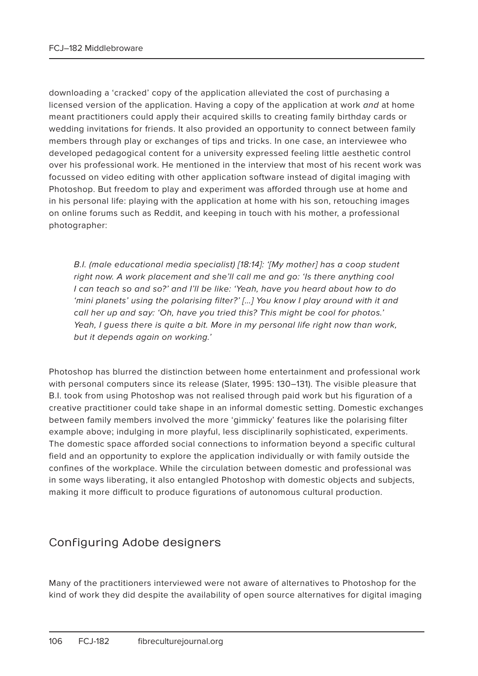downloading a 'cracked' copy of the application alleviated the cost of purchasing a licensed version of the application. Having a copy of the application at work and at home meant practitioners could apply their acquired skills to creating family birthday cards or wedding invitations for friends. It also provided an opportunity to connect between family members through play or exchanges of tips and tricks. In one case, an interviewee who developed pedagogical content for a university expressed feeling little aesthetic control over his professional work. He mentioned in the interview that most of his recent work was focussed on video editing with other application software instead of digital imaging with Photoshop. But freedom to play and experiment was afforded through use at home and in his personal life: playing with the application at home with his son, retouching images on online forums such as Reddit, and keeping in touch with his mother, a professional photographer:

B.I. (male educational media specialist) [18:14]: '[My mother] has a coop student right now. A work placement and she'll call me and go: 'Is there anything cool I can teach so and so?' and I'll be like: 'Yeah, have you heard about how to do 'mini planets' using the polarising filter?' […] You know I play around with it and call her up and say: 'Oh, have you tried this? This might be cool for photos.' Yeah, I guess there is quite a bit. More in my personal life right now than work, but it depends again on working.'

Photoshop has blurred the distinction between home entertainment and professional work with personal computers since its release (Slater, 1995: 130–131). The visible pleasure that B.I. took from using Photoshop was not realised through paid work but his figuration of a creative practitioner could take shape in an informal domestic setting. Domestic exchanges between family members involved the more 'gimmicky' features like the polarising filter example above; indulging in more playful, less disciplinarily sophisticated, experiments. The domestic space afforded social connections to information beyond a specific cultural field and an opportunity to explore the application individually or with family outside the confines of the workplace. While the circulation between domestic and professional was in some ways liberating, it also entangled Photoshop with domestic objects and subjects, making it more difficult to produce figurations of autonomous cultural production.

#### Configuring Adobe designers

Many of the practitioners interviewed were not aware of alternatives to Photoshop for the kind of work they did despite the availability of open source alternatives for digital imaging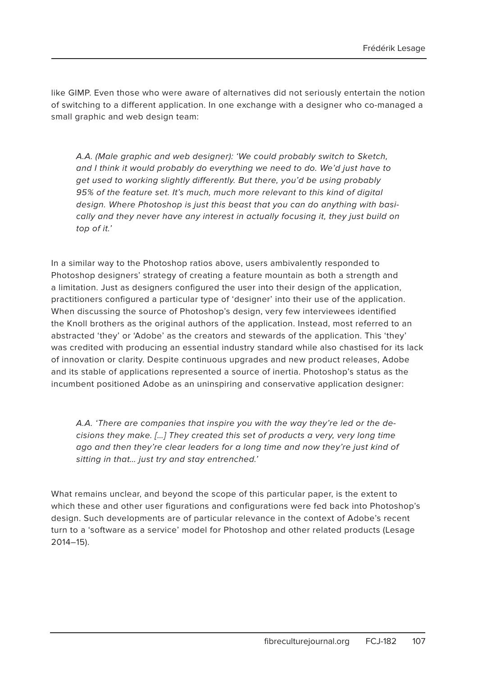like GIMP. Even those who were aware of alternatives did not seriously entertain the notion of switching to a different application. In one exchange with a designer who co-managed a small graphic and web design team:

A.A. (Male graphic and web designer): 'We could probably switch to Sketch, and I think it would probably do everything we need to do. We'd just have to get used to working slightly differently. But there, you'd be using probably 95% of the feature set. It's much, much more relevant to this kind of digital design. Where Photoshop is just this beast that you can do anything with basically and they never have any interest in actually focusing it, they just build on top of it.'

In a similar way to the Photoshop ratios above, users ambivalently responded to Photoshop designers' strategy of creating a feature mountain as both a strength and a limitation. Just as designers configured the user into their design of the application, practitioners configured a particular type of 'designer' into their use of the application. When discussing the source of Photoshop's design, very few interviewees identified the Knoll brothers as the original authors of the application. Instead, most referred to an abstracted 'they' or 'Adobe' as the creators and stewards of the application. This 'they' was credited with producing an essential industry standard while also chastised for its lack of innovation or clarity. Despite continuous upgrades and new product releases, Adobe and its stable of applications represented a source of inertia. Photoshop's status as the incumbent positioned Adobe as an uninspiring and conservative application designer:

A.A. 'There are companies that inspire you with the way they're led or the decisions they make. […] They created this set of products a very, very long time ago and then they're clear leaders for a long time and now they're just kind of sitting in that… just try and stay entrenched.'

What remains unclear, and beyond the scope of this particular paper, is the extent to which these and other user figurations and configurations were fed back into Photoshop's design. Such developments are of particular relevance in the context of Adobe's recent turn to a 'software as a service' model for Photoshop and other related products (Lesage 2014–15).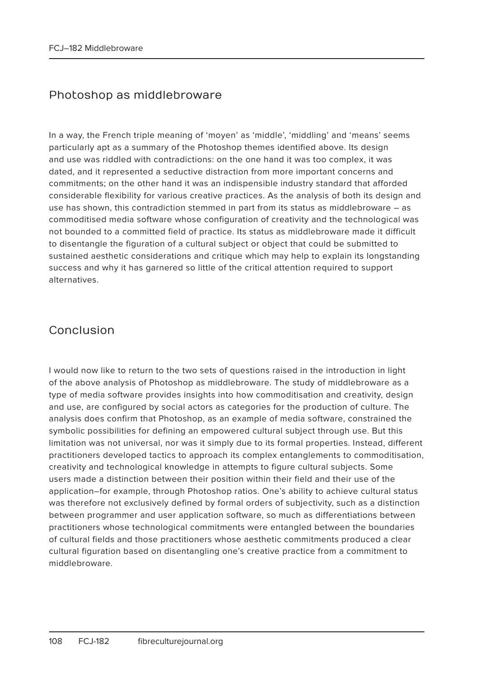#### Photoshop as middlebroware

In a way, the French triple meaning of 'moyen' as 'middle', 'middling' and 'means' seems particularly apt as a summary of the Photoshop themes identified above. Its design and use was riddled with contradictions: on the one hand it was too complex, it was dated, and it represented a seductive distraction from more important concerns and commitments; on the other hand it was an indispensible industry standard that afforded considerable flexibility for various creative practices. As the analysis of both its design and use has shown, this contradiction stemmed in part from its status as middlebroware – as commoditised media software whose configuration of creativity and the technological was not bounded to a committed field of practice. Its status as middlebroware made it difficult to disentangle the figuration of a cultural subject or object that could be submitted to sustained aesthetic considerations and critique which may help to explain its longstanding success and why it has garnered so little of the critical attention required to support alternatives.

#### Conclusion

I would now like to return to the two sets of questions raised in the introduction in light of the above analysis of Photoshop as middlebroware. The study of middlebroware as a type of media software provides insights into how commoditisation and creativity, design and use, are configured by social actors as categories for the production of culture. The analysis does confirm that Photoshop, as an example of media software, constrained the symbolic possibilities for defining an empowered cultural subject through use. But this limitation was not universal, nor was it simply due to its formal properties. Instead, different practitioners developed tactics to approach its complex entanglements to commoditisation, creativity and technological knowledge in attempts to figure cultural subjects. Some users made a distinction between their position within their field and their use of the application–for example, through Photoshop ratios. One's ability to achieve cultural status was therefore not exclusively defined by formal orders of subjectivity, such as a distinction between programmer and user application software, so much as differentiations between practitioners whose technological commitments were entangled between the boundaries of cultural fields and those practitioners whose aesthetic commitments produced a clear cultural figuration based on disentangling one's creative practice from a commitment to middlebroware.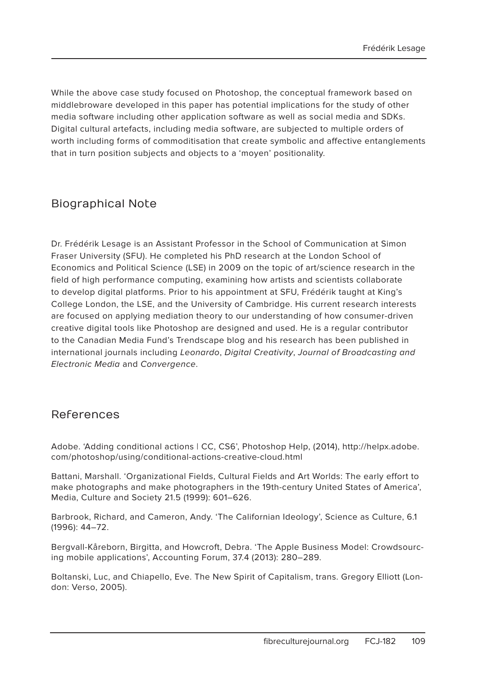While the above case study focused on Photoshop, the conceptual framework based on middlebroware developed in this paper has potential implications for the study of other media software including other application software as well as social media and SDKs. Digital cultural artefacts, including media software, are subjected to multiple orders of worth including forms of commoditisation that create symbolic and affective entanglements that in turn position subjects and objects to a 'moyen' positionality.

#### Biographical Note

Dr. Frédérik Lesage is an Assistant Professor in the School of Communication at Simon Fraser University (SFU). He completed his PhD research at the London School of Economics and Political Science (LSE) in 2009 on the topic of art/science research in the field of high performance computing, examining how artists and scientists collaborate to develop digital platforms. Prior to his appointment at SFU, Frédérik taught at King's College London, the LSE, and the University of Cambridge. His current research interests are focused on applying mediation theory to our understanding of how consumer-driven creative digital tools like Photoshop are designed and used. He is a regular contributor to the Canadian Media Fund's Trendscape blog and his research has been published in international journals including Leonardo, Digital Creativity, Journal of Broadcasting and Electronic Media and Convergence.

#### References

Adobe. 'Adding conditional actions | CC, CS6', Photoshop Help, (2014), http://helpx.adobe. com/photoshop/using/conditional-actions-creative-cloud.html

Battani, Marshall. 'Organizational Fields, Cultural Fields and Art Worlds: The early effort to make photographs and make photographers in the 19th-century United States of America', Media, Culture and Society 21.5 (1999): 601–626.

Barbrook, Richard, and Cameron, Andy. 'The Californian Ideology', Science as Culture, 6.1 (1996): 44–72.

Bergvall-Kåreborn, Birgitta, and Howcroft, Debra. 'The Apple Business Model: Crowdsourcing mobile applications', Accounting Forum, 37.4 (2013): 280–289.

Boltanski, Luc, and Chiapello, Eve. The New Spirit of Capitalism, trans. Gregory Elliott (London: Verso, 2005).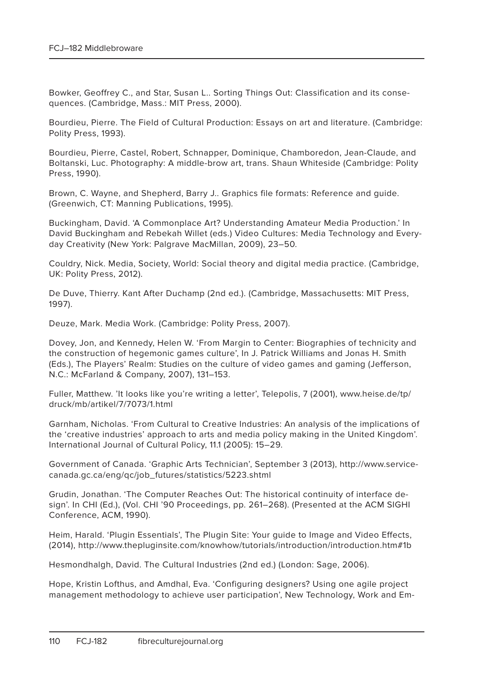Bowker, Geoffrey C., and Star, Susan L.. Sorting Things Out: Classification and its consequences. (Cambridge, Mass.: MIT Press, 2000).

Bourdieu, Pierre. The Field of Cultural Production: Essays on art and literature. (Cambridge: Polity Press, 1993).

Bourdieu, Pierre, Castel, Robert, Schnapper, Dominique, Chamboredon, Jean-Claude, and Boltanski, Luc. Photography: A middle-brow art, trans. Shaun Whiteside (Cambridge: Polity Press, 1990).

Brown, C. Wayne, and Shepherd, Barry J.. Graphics file formats: Reference and guide. (Greenwich, CT: Manning Publications, 1995).

Buckingham, David. 'A Commonplace Art? Understanding Amateur Media Production.' In David Buckingham and Rebekah Willet (eds.) Video Cultures: Media Technology and Everyday Creativity (New York: Palgrave MacMillan, 2009), 23–50.

Couldry, Nick. Media, Society, World: Social theory and digital media practice. (Cambridge, UK: Polity Press, 2012).

De Duve, Thierry. Kant After Duchamp (2nd ed.). (Cambridge, Massachusetts: MIT Press, 1997).

Deuze, Mark. Media Work. (Cambridge: Polity Press, 2007).

Dovey, Jon, and Kennedy, Helen W. 'From Margin to Center: Biographies of technicity and the construction of hegemonic games culture', In J. Patrick Williams and Jonas H. Smith (Eds.), The Players' Realm: Studies on the culture of video games and gaming (Jefferson, N.C.: McFarland & Company, 2007), 131–153.

Fuller, Matthew. 'It looks like you're writing a letter', Telepolis, 7 (2001), www.heise.de/tp/ druck/mb/artikel/7/7073/1.html

Garnham, Nicholas. 'From Cultural to Creative Industries: An analysis of the implications of the 'creative industries' approach to arts and media policy making in the United Kingdom'. International Journal of Cultural Policy, 11.1 (2005): 15–29.

Government of Canada. 'Graphic Arts Technician', September 3 (2013), http://www.servicecanada.gc.ca/eng/qc/job\_futures/statistics/5223.shtml

Grudin, Jonathan. 'The Computer Reaches Out: The historical continuity of interface design'. In CHI (Ed.), (Vol. CHI '90 Proceedings, pp. 261–268). (Presented at the ACM SIGHI Conference, ACM, 1990).

Heim, Harald. 'Plugin Essentials', The Plugin Site: Your guide to Image and Video Effects, (2014), http://www.thepluginsite.com/knowhow/tutorials/introduction/introduction.htm#1b

Hesmondhalgh, David. The Cultural Industries (2nd ed.) (London: Sage, 2006).

Hope, Kristin Lofthus, and Amdhal, Eva. 'Configuring designers? Using one agile project management methodology to achieve user participation', New Technology, Work and Em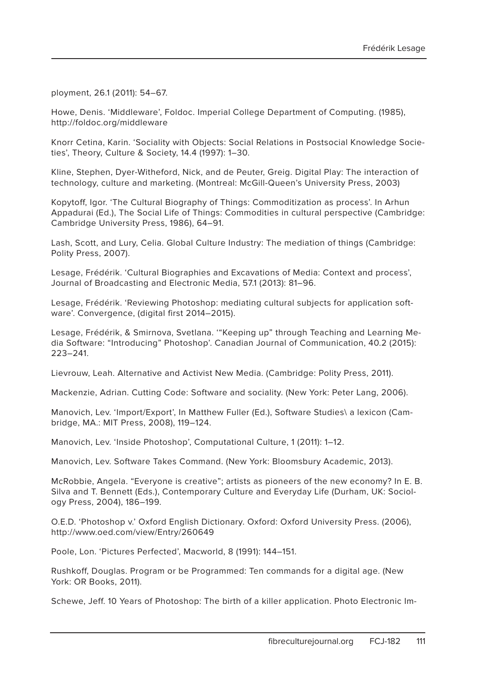ployment, 26.1 (2011): 54–67.

Howe, Denis. 'Middleware', Foldoc. Imperial College Department of Computing. (1985), http://foldoc.org/middleware

Knorr Cetina, Karin. 'Sociality with Objects: Social Relations in Postsocial Knowledge Societies', Theory, Culture & Society, 14.4 (1997): 1–30.

Kline, Stephen, Dyer-Witheford, Nick, and de Peuter, Greig. Digital Play: The interaction of technology, culture and marketing. (Montreal: McGill-Queen's University Press, 2003)

Kopytoff, Igor. 'The Cultural Biography of Things: Commoditization as process'. In Arhun Appadurai (Ed.), The Social Life of Things: Commodities in cultural perspective (Cambridge: Cambridge University Press, 1986), 64–91.

Lash, Scott, and Lury, Celia. Global Culture Industry: The mediation of things (Cambridge: Polity Press, 2007).

Lesage, Frédérik. 'Cultural Biographies and Excavations of Media: Context and process', Journal of Broadcasting and Electronic Media, 57.1 (2013): 81–96.

Lesage, Frédérik. 'Reviewing Photoshop: mediating cultural subjects for application software'. Convergence, (digital first 2014–2015).

Lesage, Frédérik, & Smirnova, Svetlana. '"Keeping up" through Teaching and Learning Media Software: "Introducing" Photoshop'. Canadian Journal of Communication, 40.2 (2015): 223–241.

Lievrouw, Leah. Alternative and Activist New Media. (Cambridge: Polity Press, 2011).

Mackenzie, Adrian. Cutting Code: Software and sociality. (New York: Peter Lang, 2006).

Manovich, Lev. 'Import/Export', In Matthew Fuller (Ed.), Software Studies\ a lexicon (Cambridge, MA.: MIT Press, 2008), 119–124.

Manovich, Lev. 'Inside Photoshop', Computational Culture, 1 (2011): 1–12.

Manovich, Lev. Software Takes Command. (New York: Bloomsbury Academic, 2013).

McRobbie, Angela. "Everyone is creative"; artists as pioneers of the new economy? In E. B. Silva and T. Bennett (Eds.), Contemporary Culture and Everyday Life (Durham, UK: Sociology Press, 2004), 186–199.

O.E.D. 'Photoshop v.' Oxford English Dictionary. Oxford: Oxford University Press. (2006), http://www.oed.com/view/Entry/260649

Poole, Lon. 'Pictures Perfected', Macworld, 8 (1991): 144–151.

Rushkoff, Douglas. Program or be Programmed: Ten commands for a digital age. (New York: OR Books, 2011).

Schewe, Jeff. 10 Years of Photoshop: The birth of a killer application. Photo Electronic Im-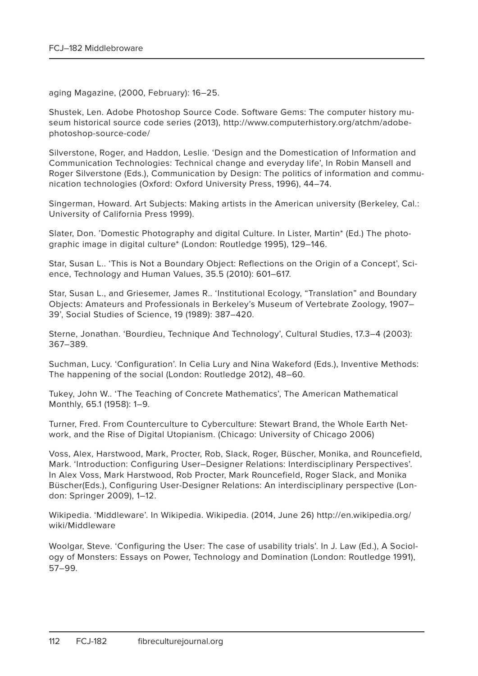aging Magazine, (2000, February): 16–25.

Shustek, Len. Adobe Photoshop Source Code. Software Gems: The computer history museum historical source code series (2013), http://www.computerhistory.org/atchm/adobephotoshop-source-code/

Silverstone, Roger, and Haddon, Leslie. 'Design and the Domestication of Information and Communication Technologies: Technical change and everyday life', In Robin Mansell and Roger Silverstone (Eds.), Communication by Design: The politics of information and communication technologies (Oxford: Oxford University Press, 1996), 44–74.

Singerman, Howard. Art Subjects: Making artists in the American university (Berkeley, Cal.: University of California Press 1999).

Slater, Don. 'Domestic Photography and digital Culture. In Lister, Martin\* (Ed.) The photographic image in digital culture\* (London: Routledge 1995), 129–146.

Star, Susan L.. 'This is Not a Boundary Object: Reflections on the Origin of a Concept', Science, Technology and Human Values, 35.5 (2010): 601–617.

Star, Susan L., and Griesemer, James R.. 'Institutional Ecology, "Translation" and Boundary Objects: Amateurs and Professionals in Berkeley's Museum of Vertebrate Zoology, 1907– 39', Social Studies of Science, 19 (1989): 387–420.

Sterne, Jonathan. 'Bourdieu, Technique And Technology', Cultural Studies, 17.3–4 (2003): 367–389.

Suchman, Lucy. 'Configuration'. In Celia Lury and Nina Wakeford (Eds.), Inventive Methods: The happening of the social (London: Routledge 2012), 48–60.

Tukey, John W.. 'The Teaching of Concrete Mathematics', The American Mathematical Monthly, 65.1 (1958): 1–9.

Turner, Fred. From Counterculture to Cyberculture: Stewart Brand, the Whole Earth Network, and the Rise of Digital Utopianism. (Chicago: University of Chicago 2006)

Voss, Alex, Harstwood, Mark, Procter, Rob, Slack, Roger, Büscher, Monika, and Rouncefield, Mark. 'Introduction: Configuring User–Designer Relations: Interdisciplinary Perspectives'. In Alex Voss, Mark Harstwood, Rob Procter, Mark Rouncefield, Roger Slack, and Monika Büscher(Eds.), Configuring User-Designer Relations: An interdisciplinary perspective (London: Springer 2009), 1–12.

Wikipedia. 'Middleware'. In Wikipedia. Wikipedia. (2014, June 26) http://en.wikipedia.org/ wiki/Middleware

Woolgar, Steve. 'Configuring the User: The case of usability trials'. In J. Law (Ed.), A Sociology of Monsters: Essays on Power, Technology and Domination (London: Routledge 1991), 57–99.